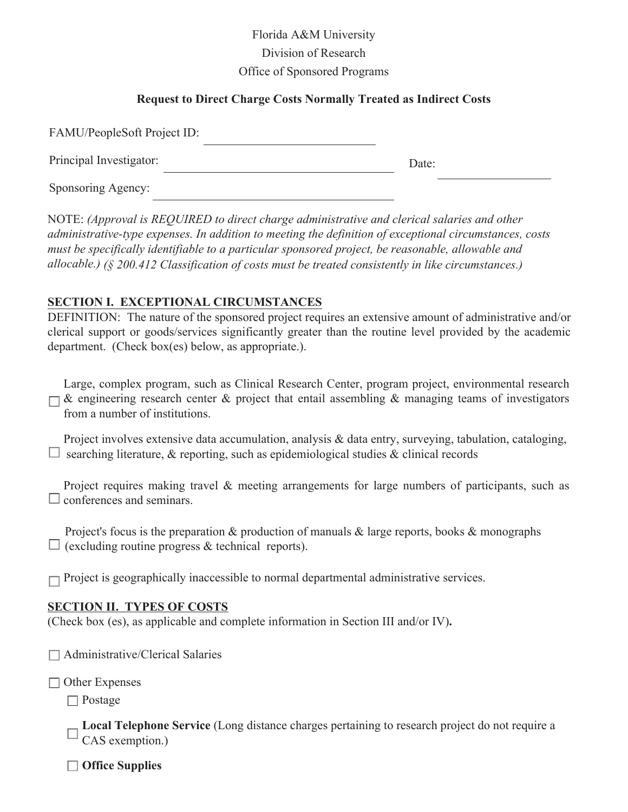Florida A&M University Division of Research Office of Sponsored Programs

### **Request to Direct Charge Costs Normally Treated as Indirect Costs**

| FAMU/PeopleSoft Project ID: |       |
|-----------------------------|-------|
| Principal Investigator:     | Date: |
| Sponsoring Agency:          |       |

NOTE: *(Approval is REQUIRED to direct charge administrative and clerical salaries and other administrative-type expenses. In addition to meeting the definition of exceptional circumstances, costs must be specifically identifiable to a particular sponsored project, be reasonable, allowable and allocable.) (§ 200.412 Classification of costs must be treated consistently in like circumstances.)*

#### **SECTION I. EXCEPTIONAL CIRCUMSTANCES**

DEFINITION: The nature of the sponsored project requires an extensive amount of administrative and/or clerical support or goods/services significantly greater than the routine level provided by the academic department. (Check box(es) below, as appropriate.).

Large, complex program, such as Clinical Research Center, program project, environmental research  $\Box$  & engineering research center & project that entail assembling & managing teams of investigators from a number of institutions.

Project involves extensive data accumulation, analysis & data entry, surveying, tabulation, cataloging,  $\Box$  searching literature, & reporting, such as epidemiological studies & clinical records

Project requires making travel & meeting arrangements for large numbers of participants, such as  $\Box$  conferences and seminars.

Project's focus is the preparation  $\&$  production of manuals  $\&$  large reports, books  $\&$  monographs  $\Box$  (excluding routine progress & technical reports).

 $\Box$  Project is geographically inaccessible to normal departmental administrative services.

#### **SECTION II. TYPES OF COSTS**

(Check box (es), as applicable and complete information in Section III and/or IV)**.**

 $\Box$  Administrative/Clerical Salaries

 $\Box$  Other Expenses

Postage

**Local Telephone Service** (Long distance charges pertaining to research project do not require a CAS exemption.)

**Office Supplies**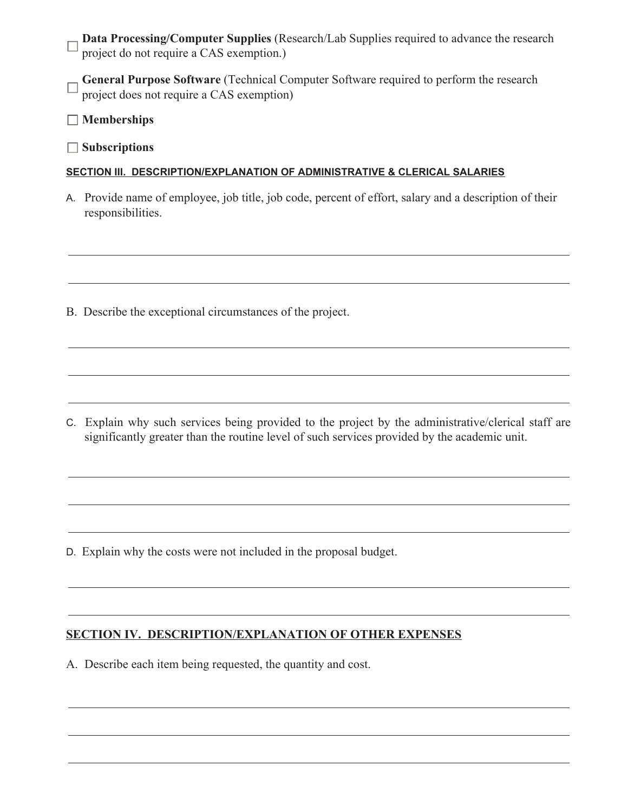**Data Processing/Computer Supplies** (Research/Lab Supplies required to advance the research project do not require a CAS exemption.)

**General Purpose Software** (Technical Computer Software required to perform the research  $\Box$ project does not require a CAS exemption)

**Memberships**

**Subscriptions**

## **SECTION III. DESCRIPTION/EXPLANATION OF ADMINISTRATIVE & CLERICAL SALARIES**

A. Provide name of employee, job title, job code, percent of effort, salary and a description of their responsibilities.

B. Describe the exceptional circumstances of the project.

C. Explain why such services being provided to the project by the administrative/clerical staff are significantly greater than the routine level of such services provided by the academic unit.

D. Explain why the costs were not included in the proposal budget.

# **SECTION IV. DESCRIPTION/EXPLANATION OF OTHER EXPENSES**

A. Describe each item being requested, the quantity and cost.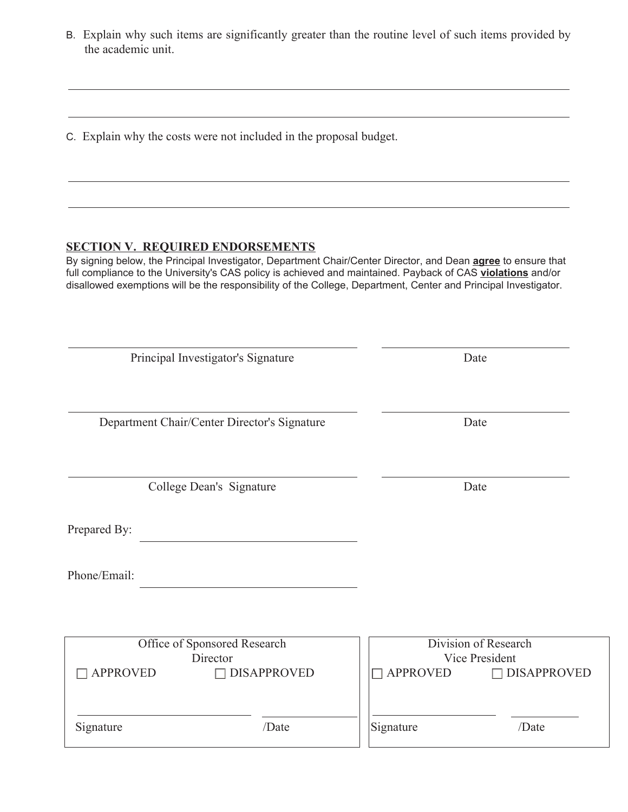B. Explain why such items are significantly greater than the routine level of such items provided by the academic unit.

<u> 1980 - Johann Barbara, martxa alemaniar amerikan basar da a</u>

C. Explain why the costs were not included in the proposal budget.

## **SECTION V. REQUIRED ENDORSEMENTS**

By signing below, the Principal Investigator, Department Chair/Center Director, and Dean **agree** to ensure that full compliance to the University's CAS policy is achieved and maintained. Payback of CAS **violations** and/or disallowed exemptions will be the responsibility of the College, Department, Center and Principal Investigator.

| Principal Investigator's Signature           |                    |                 | Date                                   |  |  |
|----------------------------------------------|--------------------|-----------------|----------------------------------------|--|--|
| Department Chair/Center Director's Signature |                    |                 | Date                                   |  |  |
| College Dean's Signature                     |                    |                 | Date                                   |  |  |
| Prepared By:                                 |                    |                 |                                        |  |  |
| Phone/Email:                                 |                    |                 |                                        |  |  |
|                                              |                    |                 |                                        |  |  |
| Office of Sponsored Research<br>Director     |                    |                 | Division of Research<br>Vice President |  |  |
| <b>APPROVED</b>                              | <b>DISAPPROVED</b> | <b>APPROVED</b> | <b>DISAPPROVED</b><br>$\Box$           |  |  |
| Signature                                    | /Date              | Signature       | /Date                                  |  |  |